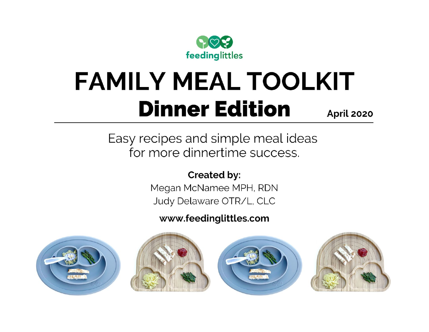

## **FAMILY MEAL TOOLKIT Dinner Edition** April 2020

Easy recipes and simple meal ideas for more dinnertime success.

**Created by:** 

Megan McNamee MPH, RDN Judy Delaware OTR/L, CLC

### www.feedinglittles.com







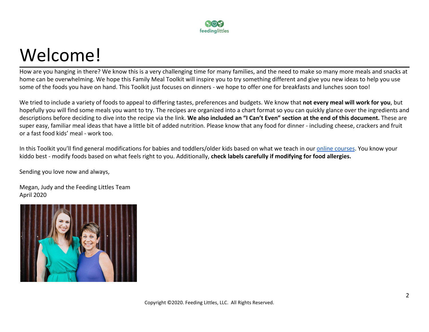

## Welcome!

How are you hanging in there? We know this is a very challenging time for many families, and the need to make so many more meals and snacks at home can be overwhelming. We hope this Family Meal Toolkit will inspire you to try something different and give you new ideas to help you use some of the foods you have on hand. This Toolkit just focuses on dinners - we hope to offer one for breakfasts and lunches soon too!

We tried to include a variety of foods to appeal to differing tastes, preferences and budgets. We know that **not every meal will work for you**, but hopefully you will find some meals you want to try. The recipes are organized into a chart format so you can quickly glance over the ingredients and descriptions before deciding to dive into the recipe via the link. **We also included an "I Can't Even" section at the end of this document.** These are super easy, familiar meal ideas that have a little bit of added nutrition. Please know that any food for dinner - including cheese, crackers and fruit or a fast food kids' meal - work too.

In this Toolkit you'll find general modifications for babies and toddlers/older kids based on what we teach in our [online courses](http://feedinglittles.com/). You know your kiddo best - modify foods based on what feels right to you. Additionally, **check labels carefully if modifying for food allergies.**

Sending you love now and always,

Megan, Judy and the Feeding Littles Team April 2020

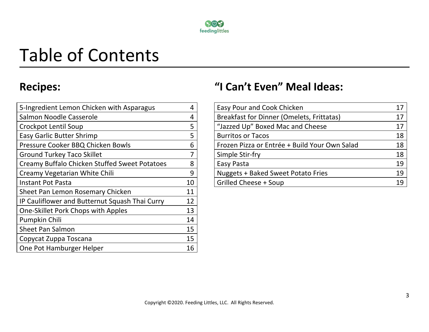

# Table of Contents

| 5-Ingredient Lemon Chicken with Asparagus      | 4  |
|------------------------------------------------|----|
| Salmon Noodle Casserole                        | 4  |
| Crockpot Lentil Soup                           | 5  |
| <b>Easy Garlic Butter Shrimp</b>               | 5  |
| Pressure Cooker BBQ Chicken Bowls              | 6  |
| <b>Ground Turkey Taco Skillet</b>              | 7  |
| Creamy Buffalo Chicken Stuffed Sweet Potatoes  | 8  |
| Creamy Vegetarian White Chili                  | 9  |
| Instant Pot Pasta                              | 10 |
| Sheet Pan Lemon Rosemary Chicken               | 11 |
| IP Cauliflower and Butternut Squash Thai Curry | 12 |
| One-Skillet Pork Chops with Apples             | 13 |
| Pumpkin Chili                                  | 14 |
| <b>Sheet Pan Salmon</b>                        | 15 |
| Copycat Zuppa Toscana                          | 15 |
| One Pot Hamburger Helper                       | 16 |

## **Recipes: "I Can't Even" Meal Ideas:**

| 5-Ingredient Lemon Chicken with Asparagus     |    | Easy Pour and Cook Chicken                    | 17 |
|-----------------------------------------------|----|-----------------------------------------------|----|
| Salmon Noodle Casserole                       |    | Breakfast for Dinner (Omelets, Frittatas)     | 17 |
| Crockpot Lentil Soup                          |    | "Jazzed Up" Boxed Mac and Cheese              | 17 |
| <b>Easy Garlic Butter Shrimp</b>              |    | <b>Burritos or Tacos</b>                      | 18 |
| Pressure Cooker BBQ Chicken Bowls             |    | Frozen Pizza or Entrée + Build Your Own Salad | 18 |
| <b>Ground Turkey Taco Skillet</b>             |    | Simple Stir-fry                               | 18 |
| Creamy Buffalo Chicken Stuffed Sweet Potatoes |    | Easy Pasta                                    | 19 |
| Creamy Vegetarian White Chili                 | Ο  | <b>Nuggets + Baked Sweet Potato Fries</b>     | 19 |
| <b>Instant Pot Pasta</b>                      | 10 | <b>Grilled Cheese + Soup</b>                  | 19 |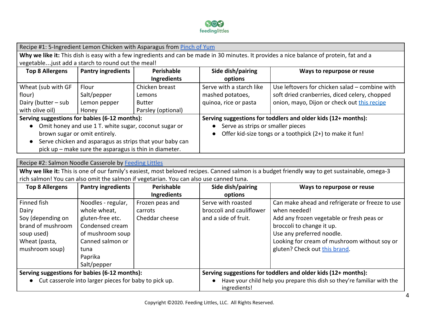

|                                                                                                                                          | Recipe #1: 5-Ingredient Lemon Chicken with Asparagus from Pinch of Yum |                    |                                                               |                                                |  |  |
|------------------------------------------------------------------------------------------------------------------------------------------|------------------------------------------------------------------------|--------------------|---------------------------------------------------------------|------------------------------------------------|--|--|
| Why we like it: This dish is easy with a few ingredients and can be made in 30 minutes. It provides a nice balance of protein, fat and a |                                                                        |                    |                                                               |                                                |  |  |
|                                                                                                                                          | vegetable just add a starch to round out the meal!                     |                    |                                                               |                                                |  |  |
| Side dish/pairing<br><b>Pantry ingredients</b><br>Perishable<br><b>Top 8 Allergens</b><br>Ways to repurpose or reuse                     |                                                                        |                    |                                                               |                                                |  |  |
|                                                                                                                                          |                                                                        | Ingredients        | options                                                       |                                                |  |  |
| Wheat (sub with GF                                                                                                                       | Flour                                                                  | Chicken breast     | Serve with a starch like                                      | Use leftovers for chicken salad – combine with |  |  |
| flour)                                                                                                                                   | Salt/pepper                                                            | Lemons             | mashed potatoes,                                              | soft dried cranberries, diced celery, chopped  |  |  |
| Dairy (butter – sub                                                                                                                      | Lemon pepper                                                           | <b>Butter</b>      | quinoa, rice or pasta                                         | onion, mayo, Dijon or check out this recipe    |  |  |
| with olive oil)                                                                                                                          | Honey                                                                  | Parsley (optional) |                                                               |                                                |  |  |
| Serving suggestions for babies (6-12 months):                                                                                            |                                                                        |                    | Serving suggestions for toddlers and older kids (12+ months): |                                                |  |  |
|                                                                                                                                          | Omit honey and use 1 T. white sugar, coconut sugar or                  |                    | Serve as strips or smaller pieces                             |                                                |  |  |
| brown sugar or omit entirely.                                                                                                            |                                                                        |                    | Offer kid-size tongs or a toothpick (2+) to make it fun!      |                                                |  |  |
| Serve chicken and asparagus as strips that your baby can<br>$\bullet$                                                                    |                                                                        |                    |                                                               |                                                |  |  |
| pick up – make sure the asparagus is thin in diameter.                                                                                   |                                                                        |                    |                                                               |                                                |  |  |

| Recipe #2: Salmon Noodle Casserole by Feeding Littles                                                                                         |                                                       |                    |                                                                                         |                                                 |  |  |  |
|-----------------------------------------------------------------------------------------------------------------------------------------------|-------------------------------------------------------|--------------------|-----------------------------------------------------------------------------------------|-------------------------------------------------|--|--|--|
| Why we like it: This is one of our family's easiest, most beloved recipes. Canned salmon is a budget friendly way to get sustainable, omega-3 |                                                       |                    |                                                                                         |                                                 |  |  |  |
| rich salmon! You can also omit the salmon if vegetarian. You can also use canned tuna.                                                        |                                                       |                    |                                                                                         |                                                 |  |  |  |
| <b>Pantry ingredients</b><br>Perishable<br>Side dish/pairing<br><b>Top 8 Allergens</b><br>Ways to repurpose or reuse                          |                                                       |                    |                                                                                         |                                                 |  |  |  |
|                                                                                                                                               |                                                       | <b>Ingredients</b> | options                                                                                 |                                                 |  |  |  |
| Finned fish                                                                                                                                   | Noodles - regular,                                    | Frozen peas and    | Serve with roasted                                                                      | Can make ahead and refrigerate or freeze to use |  |  |  |
| Dairy                                                                                                                                         | whole wheat,                                          | carrots            | broccoli and cauliflower                                                                | when needed!                                    |  |  |  |
| Soy (depending on                                                                                                                             | gluten-free etc.                                      | Cheddar cheese     | and a side of fruit.                                                                    | Add any frozen vegetable or fresh peas or       |  |  |  |
| brand of mushroom                                                                                                                             | Condensed cream                                       |                    |                                                                                         | broccoli to change it up.                       |  |  |  |
| soup used)                                                                                                                                    | of mushroom soup                                      |                    |                                                                                         | Use any preferred noodle.                       |  |  |  |
| Wheat (pasta,                                                                                                                                 | Canned salmon or                                      |                    |                                                                                         | Looking for cream of mushroom without soy or    |  |  |  |
| mushroom soup)                                                                                                                                | tuna                                                  |                    |                                                                                         | gluten? Check out this brand.                   |  |  |  |
|                                                                                                                                               | Paprika                                               |                    |                                                                                         |                                                 |  |  |  |
|                                                                                                                                               | Salt/pepper                                           |                    |                                                                                         |                                                 |  |  |  |
| Serving suggestions for babies (6-12 months):                                                                                                 |                                                       |                    | Serving suggestions for toddlers and older kids (12+ months):                           |                                                 |  |  |  |
| $\bullet$                                                                                                                                     | Cut casserole into larger pieces for baby to pick up. |                    | Have your child help you prepare this dish so they're familiar with the<br>ingredients! |                                                 |  |  |  |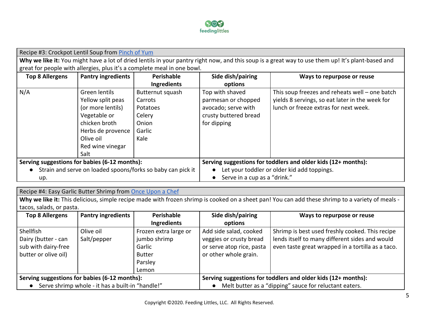

Recipe #3: Crockpot Lentil Soup from [Pinch of Yum](https://pinchofyum.com/the-best-detox-crockpot-lentil-soup) Why we like it: You might have a lot of dried lentils in your pantry right now, and this soup is a great way to use them up! It's plant-based and great for people with allergies, plus it's a complete meal in one bowl. **Top 8 Allergens Pantry ingredients Perishable Ingredients Side dish/pairing options Ways to repurpose or reuse** N/A Green lentils Yellow split peas (or more lentils) Vegetable or chicken broth Herbs de provence Olive oil Red wine vinegar Salt Butternut squash Carrots Potatoes Celery **Onion** Garlic Kale Top with shaved parmesan or chopped avocado; serve with crusty buttered bread for dipping This soup freezes and reheats well – one batch yields 8 servings, so eat later in the week for lunch or freeze extras for next week. **Serving suggestions for babies (6-12 months): ●** Strain and serve on loaded spoons/forks so baby can pick it up. **Serving suggestions for toddlers and older kids (12+ months): ●** Let your toddler or older kid add toppings. **●** Serve in a cup as a "drink."

Recipe #4: Easy Garlic Butter Shrimp from [Once Upon a Chef](https://www.onceuponachef.com/recipes/easy-garlic-butter-shrimp.html)

Why we like it: This delicious, simple recipe made with frozen shrimp is cooked on a sheet pan! You can add these shrimp to a variety of meals tacos, salads, or pasta.

| <b>Top 8 Allergens</b>                           | <b>Pantry ingredients</b> | Perishable                                                    | Side dish/pairing         | Ways to repurpose or reuse                        |
|--------------------------------------------------|---------------------------|---------------------------------------------------------------|---------------------------|---------------------------------------------------|
|                                                  |                           | <b>Ingredients</b>                                            | options                   |                                                   |
| <b>Shellfish</b>                                 | Olive oil                 | Frozen extra large or                                         | Add side salad, cooked    | Shrimp is best used freshly cooked. This recipe   |
| Dairy (butter - can                              | Salt/pepper               | jumbo shrimp                                                  | veggies or crusty bread   | lends itself to many different sides and would    |
| sub with dairy-free                              |                           | Garlic                                                        | or serve atop rice, pasta | even taste great wrapped in a tortilla as a taco. |
| butter or olive oil)                             |                           | Butter                                                        | or other whole grain.     |                                                   |
|                                                  |                           | Parsley                                                       |                           |                                                   |
|                                                  |                           | Lemon                                                         |                           |                                                   |
| Serving suggestions for babies (6-12 months):    |                           | Serving suggestions for toddlers and older kids (12+ months): |                           |                                                   |
| Serve shrimp whole - it has a built-in "handle!" |                           | Melt butter as a "dipping" sauce for reluctant eaters.        |                           |                                                   |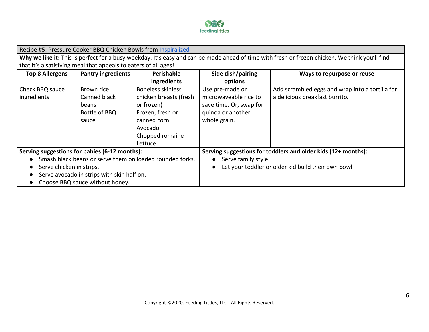

|                                               | Recipe #5: Pressure Cooker BBQ Chicken Bowls from Inspiralized  |                                                          |                                                               |                                                                                                                                                |  |  |
|-----------------------------------------------|-----------------------------------------------------------------|----------------------------------------------------------|---------------------------------------------------------------|------------------------------------------------------------------------------------------------------------------------------------------------|--|--|
|                                               |                                                                 |                                                          |                                                               | Why we like it: This is perfect for a busy weekday. It's easy and can be made ahead of time with fresh or frozen chicken. We think you'll find |  |  |
|                                               | that it's a satisfying meal that appeals to eaters of all ages! |                                                          |                                                               |                                                                                                                                                |  |  |
| <b>Top 8 Allergens</b>                        | <b>Pantry ingredients</b>                                       | Perishable                                               | Side dish/pairing                                             | Ways to repurpose or reuse                                                                                                                     |  |  |
|                                               |                                                                 | Ingredients                                              | options                                                       |                                                                                                                                                |  |  |
| Check BBQ sauce                               | Brown rice                                                      | <b>Boneless skinless</b>                                 | Use pre-made or                                               | Add scrambled eggs and wrap into a tortilla for                                                                                                |  |  |
| ingredients                                   | Canned black                                                    | chicken breasts (fresh                                   | microwaveable rice to                                         | a delicious breakfast burrito.                                                                                                                 |  |  |
|                                               | beans                                                           | or frozen)                                               | save time. Or, swap for                                       |                                                                                                                                                |  |  |
|                                               | Bottle of BBQ                                                   | Frozen, fresh or                                         | quinoa or another                                             |                                                                                                                                                |  |  |
|                                               | sauce                                                           | canned corn                                              | whole grain.                                                  |                                                                                                                                                |  |  |
|                                               |                                                                 | Avocado                                                  |                                                               |                                                                                                                                                |  |  |
|                                               |                                                                 | Chopped romaine                                          |                                                               |                                                                                                                                                |  |  |
|                                               |                                                                 | Lettuce                                                  |                                                               |                                                                                                                                                |  |  |
| Serving suggestions for babies (6-12 months): |                                                                 |                                                          | Serving suggestions for toddlers and older kids (12+ months): |                                                                                                                                                |  |  |
|                                               |                                                                 | Smash black beans or serve them on loaded rounded forks. | Serve family style.                                           |                                                                                                                                                |  |  |
| Serve chicken in strips.                      |                                                                 | Let your toddler or older kid build their own bowl.      |                                                               |                                                                                                                                                |  |  |
|                                               | Serve avocado in strips with skin half on.                      |                                                          |                                                               |                                                                                                                                                |  |  |
| Choose BBQ sauce without honey.               |                                                                 |                                                          |                                                               |                                                                                                                                                |  |  |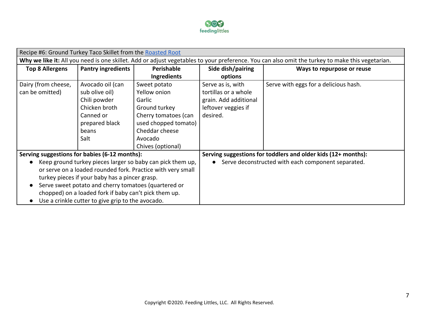

| Recipe #6: Ground Turkey Taco Skillet from the Roasted Root |                                                       |                                                            |                                                               |                                                                                                                                                 |  |
|-------------------------------------------------------------|-------------------------------------------------------|------------------------------------------------------------|---------------------------------------------------------------|-------------------------------------------------------------------------------------------------------------------------------------------------|--|
|                                                             |                                                       |                                                            |                                                               | Why we like it: All you need is one skillet. Add or adjust vegetables to your preference. You can also omit the turkey to make this vegetarian. |  |
| <b>Top 8 Allergens</b>                                      | <b>Pantry ingredients</b>                             | Perishable                                                 | Side dish/pairing                                             | Ways to repurpose or reuse                                                                                                                      |  |
|                                                             |                                                       | Ingredients                                                | options                                                       |                                                                                                                                                 |  |
| Dairy (from cheese,                                         | Avocado oil (can                                      | Sweet potato                                               | Serve as is, with                                             | Serve with eggs for a delicious hash.                                                                                                           |  |
| can be omitted)                                             | sub olive oil)                                        | Yellow onion                                               | tortillas or a whole                                          |                                                                                                                                                 |  |
|                                                             | Chili powder                                          | Garlic                                                     | grain. Add additional                                         |                                                                                                                                                 |  |
|                                                             | Chicken broth                                         | Ground turkey                                              | leftover veggies if                                           |                                                                                                                                                 |  |
|                                                             | Canned or                                             | Cherry tomatoes (can                                       | desired.                                                      |                                                                                                                                                 |  |
|                                                             | prepared black                                        | used chopped tomato)                                       |                                                               |                                                                                                                                                 |  |
|                                                             | beans                                                 | Cheddar cheese                                             |                                                               |                                                                                                                                                 |  |
|                                                             | Salt                                                  | Avocado                                                    |                                                               |                                                                                                                                                 |  |
|                                                             |                                                       | Chives (optional)                                          |                                                               |                                                                                                                                                 |  |
| Serving suggestions for babies (6-12 months):               |                                                       |                                                            | Serving suggestions for toddlers and older kids (12+ months): |                                                                                                                                                 |  |
|                                                             |                                                       | Keep ground turkey pieces larger so baby can pick them up, | Serve deconstructed with each component separated.            |                                                                                                                                                 |  |
| or serve on a loaded rounded fork. Practice with very small |                                                       |                                                            |                                                               |                                                                                                                                                 |  |
| turkey pieces if your baby has a pincer grasp.              |                                                       |                                                            |                                                               |                                                                                                                                                 |  |
| Serve sweet potato and cherry tomatoes (quartered or        |                                                       |                                                            |                                                               |                                                                                                                                                 |  |
|                                                             | chopped) on a loaded fork if baby can't pick them up. |                                                            |                                                               |                                                                                                                                                 |  |
| Use a crinkle cutter to give grip to the avocado.           |                                                       |                                                            |                                                               |                                                                                                                                                 |  |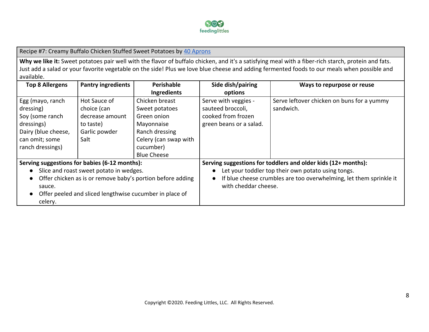

Recipe #7: Creamy Buffalo Chicken Stuffed Sweet Potatoes by [40 Aprons](https://40aprons.com/healthy-buffalo-chicken-stuffed-sweet-potatoes-whole30/)

Why we like it: Sweet potatoes pair well with the flavor of buffalo chicken, and it's a satisfying meal with a fiber-rich starch, protein and fats. Just add a salad or your favorite vegetable on the side! Plus we love blue cheese and adding fermented foods to our meals when possible and available.

| <b>Top 8 Allergens</b>                                                  | <b>Pantry ingredients</b>                               | Perishable                                                         | Side dish/pairing                                  | Ways to repurpose or reuse                                    |
|-------------------------------------------------------------------------|---------------------------------------------------------|--------------------------------------------------------------------|----------------------------------------------------|---------------------------------------------------------------|
|                                                                         |                                                         | Ingredients                                                        | options                                            |                                                               |
| Egg (mayo, ranch                                                        | Hot Sauce of                                            | Chicken breast                                                     | Serve with veggies -                               | Serve leftover chicken on buns for a yummy                    |
| dressing)                                                               | choice (can                                             | Sweet potatoes                                                     | sauteed broccoli,                                  | sandwich.                                                     |
| Soy (some ranch                                                         | decrease amount                                         | Green onion                                                        | cooked from frozen                                 |                                                               |
| dressings)                                                              | to taste)                                               | Mayonnaise                                                         | green beans or a salad.                            |                                                               |
| Dairy (blue cheese,                                                     | Garlic powder                                           | Ranch dressing                                                     |                                                    |                                                               |
| can omit; some                                                          | Salt                                                    | Celery (can swap with                                              |                                                    |                                                               |
| ranch dressings)                                                        |                                                         | cucumber)                                                          |                                                    |                                                               |
|                                                                         |                                                         | <b>Blue Cheese</b>                                                 |                                                    |                                                               |
| Serving suggestions for babies (6-12 months):                           |                                                         |                                                                    |                                                    | Serving suggestions for toddlers and older kids (12+ months): |
|                                                                         | Slice and roast sweet potato in wedges.                 |                                                                    | Let your toddler top their own potato using tongs. |                                                               |
| Offer chicken as is or remove baby's portion before adding<br>$\bullet$ |                                                         | If blue cheese crumbles are too overwhelming, let them sprinkle it |                                                    |                                                               |
| sauce.                                                                  |                                                         | with cheddar cheese.                                               |                                                    |                                                               |
|                                                                         | Offer peeled and sliced lengthwise cucumber in place of |                                                                    |                                                    |                                                               |
| celery.                                                                 |                                                         |                                                                    |                                                    |                                                               |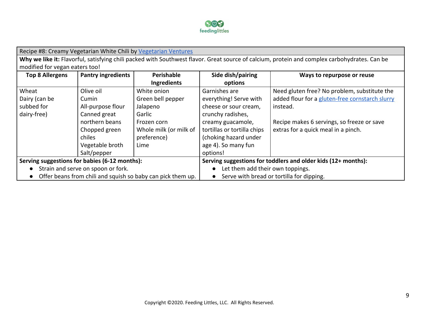

| Recipe #8: Creamy Vegetarian White Chili by Vegetarian Ventures                                                                              |                                               |                        |                                           |                                                               |  |  |
|----------------------------------------------------------------------------------------------------------------------------------------------|-----------------------------------------------|------------------------|-------------------------------------------|---------------------------------------------------------------|--|--|
| Why we like it: Flavorful, satisfying chili packed with Southwest flavor. Great source of calcium, protein and complex carbohydrates. Can be |                                               |                        |                                           |                                                               |  |  |
|                                                                                                                                              | modified for vegan eaters too!                |                        |                                           |                                                               |  |  |
| <b>Top 8 Allergens</b>                                                                                                                       | <b>Pantry ingredients</b>                     | <b>Perishable</b>      | Side dish/pairing                         | Ways to repurpose or reuse                                    |  |  |
|                                                                                                                                              |                                               | Ingredients            | options                                   |                                                               |  |  |
| Wheat                                                                                                                                        | Olive oil                                     | White onion            | Garnishes are                             | Need gluten free? No problem, substitute the                  |  |  |
| Dairy (can be                                                                                                                                | Cumin                                         | Green bell pepper      | everything! Serve with                    | added flour for a gluten-free cornstarch slurry               |  |  |
| subbed for                                                                                                                                   | All-purpose flour                             | Jalapeno               | cheese or sour cream,                     | instead.                                                      |  |  |
| dairy-free)                                                                                                                                  | Canned great                                  | Garlic                 | crunchy radishes,                         |                                                               |  |  |
|                                                                                                                                              | northern beans                                | Frozen corn            | creamy guacamole,                         | Recipe makes 6 servings, so freeze or save                    |  |  |
|                                                                                                                                              | Chopped green                                 | Whole milk (or milk of | tortillas or tortilla chips               | extras for a quick meal in a pinch.                           |  |  |
|                                                                                                                                              | chiles                                        | preference)            | (choking hazard under                     |                                                               |  |  |
|                                                                                                                                              | Vegetable broth                               | Lime                   | age 4). So many fun                       |                                                               |  |  |
|                                                                                                                                              | Salt/pepper                                   |                        | options!                                  |                                                               |  |  |
|                                                                                                                                              | Serving suggestions for babies (6-12 months): |                        |                                           | Serving suggestions for toddlers and older kids (12+ months): |  |  |
|                                                                                                                                              | Strain and serve on spoon or fork.            |                        | Let them add their own toppings.          |                                                               |  |  |
| Offer beans from chili and squish so baby can pick them up.                                                                                  |                                               |                        | Serve with bread or tortilla for dipping. |                                                               |  |  |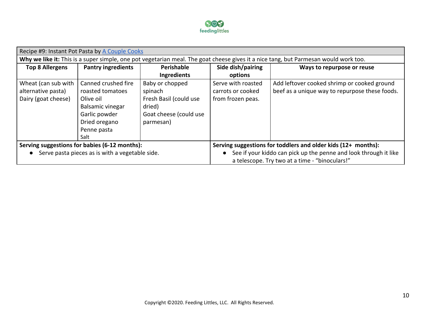

| Recipe #9: Instant Pot Pasta by A Couple Cooks                                                                                      |                                                 |                                                               |                                                                  |                                                |
|-------------------------------------------------------------------------------------------------------------------------------------|-------------------------------------------------|---------------------------------------------------------------|------------------------------------------------------------------|------------------------------------------------|
| Why we like it: This is a super simple, one pot vegetarian meal. The goat cheese gives it a nice tang, but Parmesan would work too. |                                                 |                                                               |                                                                  |                                                |
| <b>Top 8 Allergens</b>                                                                                                              | <b>Pantry ingredients</b>                       | Perishable                                                    | Side dish/pairing                                                | Ways to repurpose or reuse                     |
|                                                                                                                                     |                                                 | <b>Ingredients</b>                                            | options                                                          |                                                |
| Wheat (can sub with                                                                                                                 | Canned crushed fire                             | Baby or chopped                                               | Serve with roasted                                               | Add leftover cooked shrimp or cooked ground    |
| alternative pasta)                                                                                                                  | roasted tomatoes                                | spinach                                                       | carrots or cooked                                                | beef as a unique way to repurpose these foods. |
| Dairy (goat cheese)                                                                                                                 | Olive oil                                       | Fresh Basil (could use                                        | from frozen peas.                                                |                                                |
|                                                                                                                                     | <b>Balsamic vinegar</b>                         | dried)                                                        |                                                                  |                                                |
|                                                                                                                                     | Garlic powder                                   | Goat cheese (could use                                        |                                                                  |                                                |
|                                                                                                                                     | Dried oregano                                   | parmesan)                                                     |                                                                  |                                                |
|                                                                                                                                     | Penne pasta                                     |                                                               |                                                                  |                                                |
|                                                                                                                                     | Salt                                            |                                                               |                                                                  |                                                |
| Serving suggestions for babies (6-12 months):                                                                                       |                                                 | Serving suggestions for toddlers and older kids (12+ months): |                                                                  |                                                |
|                                                                                                                                     | Serve pasta pieces as is with a vegetable side. |                                                               | See if your kiddo can pick up the penne and look through it like |                                                |
|                                                                                                                                     |                                                 |                                                               |                                                                  | a telescope. Try two at a time - "binoculars!" |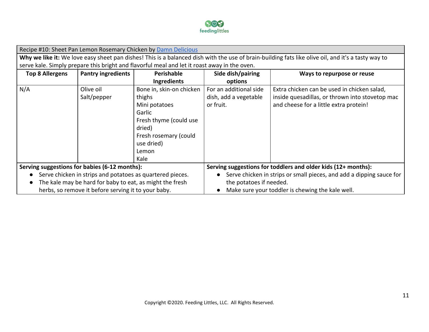

|                                                                                              | Recipe #10: Sheet Pan Lemon Rosemary Chicken by Damn Delicious                                                                                     |                                                           |                                                                      |                                                 |  |
|----------------------------------------------------------------------------------------------|----------------------------------------------------------------------------------------------------------------------------------------------------|-----------------------------------------------------------|----------------------------------------------------------------------|-------------------------------------------------|--|
|                                                                                              | Why we like it: We love easy sheet pan dishes! This is a balanced dish with the use of brain-building fats like olive oil, and it's a tasty way to |                                                           |                                                                      |                                                 |  |
| serve kale. Simply prepare this bright and flavorful meal and let it roast away in the oven. |                                                                                                                                                    |                                                           |                                                                      |                                                 |  |
| <b>Top 8 Allergens</b>                                                                       | <b>Pantry ingredients</b>                                                                                                                          | Perishable                                                | Side dish/pairing                                                    | Ways to repurpose or reuse                      |  |
|                                                                                              |                                                                                                                                                    | Ingredients                                               | options                                                              |                                                 |  |
| N/A                                                                                          | Olive oil                                                                                                                                          | Bone in, skin-on chicken                                  | For an additional side                                               | Extra chicken can be used in chicken salad,     |  |
|                                                                                              | Salt/pepper                                                                                                                                        | thighs                                                    | dish, add a vegetable                                                | inside quesadillas, or thrown into stovetop mac |  |
|                                                                                              |                                                                                                                                                    | Mini potatoes                                             | or fruit.                                                            | and cheese for a little extra protein!          |  |
|                                                                                              |                                                                                                                                                    | Garlic                                                    |                                                                      |                                                 |  |
|                                                                                              |                                                                                                                                                    | Fresh thyme (could use                                    |                                                                      |                                                 |  |
|                                                                                              |                                                                                                                                                    | dried)                                                    |                                                                      |                                                 |  |
|                                                                                              |                                                                                                                                                    | Fresh rosemary (could                                     |                                                                      |                                                 |  |
|                                                                                              |                                                                                                                                                    | use dried)                                                |                                                                      |                                                 |  |
|                                                                                              |                                                                                                                                                    | Lemon                                                     |                                                                      |                                                 |  |
|                                                                                              |                                                                                                                                                    | Kale                                                      |                                                                      |                                                 |  |
| Serving suggestions for babies (6-12 months):                                                |                                                                                                                                                    |                                                           | Serving suggestions for toddlers and older kids (12+ months):        |                                                 |  |
|                                                                                              |                                                                                                                                                    | Serve chicken in strips and potatoes as quartered pieces. | Serve chicken in strips or small pieces, and add a dipping sauce for |                                                 |  |
|                                                                                              | The kale may be hard for baby to eat, as might the fresh                                                                                           |                                                           | the potatoes if needed.                                              |                                                 |  |
|                                                                                              | herbs, so remove it before serving it to your baby.                                                                                                |                                                           | Make sure your toddler is chewing the kale well.                     |                                                 |  |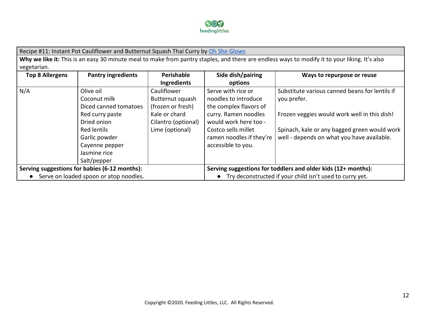

Recipe #11: Instant Pot Cauliflower and Butternut Squash Thai Curry by [Oh She Glows](https://ohsheglows.com/2018/09/18/instant-pot-cauliflower-and-butternut-thai-curry/) Why we like it: This is an easy 30 minute meal to make from pantry staples, and there are endless ways to modify it to your liking. It's also vegetarian. **Top 8 Allergens Pantry ingredients Perishable Ingredients Side dish/pairing options Ways to repurpose or reuse** N/A Olive oil Coconut milk Diced canned tomatoes Red curry paste Dried onion Red lentils Garlic powder Cayenne pepper Jasmine rice Salt/pepper Cauliflower Butternut squash (frozen or fresh) Kale or chard Cilantro (optional) Lime (optional) Serve with rice or noodles to introduce the complex flavors of curry. Ramen noodles would work here too - Costco sells millet ramen noodles if they're accessible to you. Substitute various canned beans for lentils if you prefer. Frozen veggies would work well in this dish! Spinach, kale or any bagged green would work well - depends on what you have available.

**Serving suggestions for babies (6-12 months):** ● Serve on loaded spoon or atop noodles. **Serving suggestions for toddlers and older kids (12+ months):** ● Try deconstructed if your child isn't used to curry yet.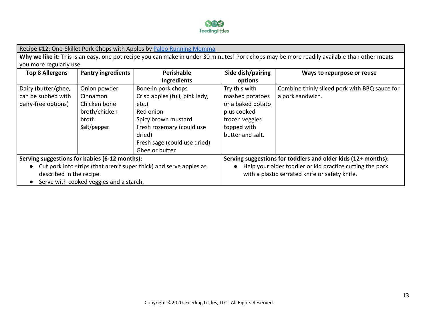

Recipe #12: One-Skillet Pork Chops with Apples by [Paleo Running Momma](https://www.paleorunningmomma.com/pork-chops-apples-paleo-whole30/)

Why we like it: This is an easy, one pot recipe you can make in under 30 minutes! Pork chops may be more readily available than other meats you more regularly use.

| <b>Top 8 Allergens</b>                                               | <b>Pantry ingredients</b>               | Perishable                     | Side dish/pairing                                        | Ways to repurpose or reuse                                    |
|----------------------------------------------------------------------|-----------------------------------------|--------------------------------|----------------------------------------------------------|---------------------------------------------------------------|
|                                                                      |                                         | Ingredients                    | options                                                  |                                                               |
| Dairy (butter/ghee,                                                  | Onion powder                            | Bone-in pork chops             | Try this with                                            | Combine thinly sliced pork with BBQ sauce for                 |
| can be subbed with                                                   | Cinnamon                                | Crisp apples (fuji, pink lady, | mashed potatoes                                          | a pork sandwich.                                              |
| dairy-free options)                                                  | Chicken bone                            | etc.)                          | or a baked potato                                        |                                                               |
|                                                                      | broth/chicken                           | Red onion                      | plus cooked                                              |                                                               |
|                                                                      | broth                                   | Spicy brown mustard            | frozen veggies                                           |                                                               |
|                                                                      | Salt/pepper                             | Fresh rosemary (could use      | topped with                                              |                                                               |
|                                                                      |                                         | dried)                         | butter and salt.                                         |                                                               |
|                                                                      |                                         | Fresh sage (could use dried)   |                                                          |                                                               |
|                                                                      |                                         | Ghee or butter                 |                                                          |                                                               |
| Serving suggestions for babies (6-12 months):                        |                                         |                                |                                                          | Serving suggestions for toddlers and older kids (12+ months): |
| • Cut pork into strips (that aren't super thick) and serve apples as |                                         |                                | Help your older toddler or kid practice cutting the pork |                                                               |
| described in the recipe.                                             |                                         |                                | with a plastic serrated knife or safety knife.           |                                                               |
|                                                                      | Serve with cooked veggies and a starch. |                                |                                                          |                                                               |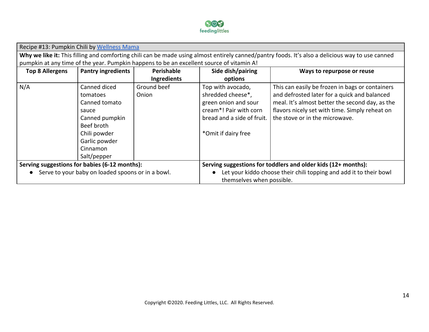

| Recipe #13: Pumpkin Chili by Wellness Mama                                                                                                       |                           |                                                                    |                            |                                                 |  |  |
|--------------------------------------------------------------------------------------------------------------------------------------------------|---------------------------|--------------------------------------------------------------------|----------------------------|-------------------------------------------------|--|--|
| Why we like it: This filling and comforting chili can be made using almost entirely canned/pantry foods. It's also a delicious way to use canned |                           |                                                                    |                            |                                                 |  |  |
| pumpkin at any time of the year. Pumpkin happens to be an excellent source of vitamin A!                                                         |                           |                                                                    |                            |                                                 |  |  |
| <b>Top 8 Allergens</b>                                                                                                                           | <b>Pantry ingredients</b> | Perishable                                                         | Side dish/pairing          | Ways to repurpose or reuse                      |  |  |
|                                                                                                                                                  |                           | Ingredients                                                        | options                    |                                                 |  |  |
| N/A                                                                                                                                              | Canned diced              | Ground beef                                                        | Top with avocado,          | This can easily be frozen in bags or containers |  |  |
|                                                                                                                                                  | tomatoes                  | Onion                                                              | shredded cheese*,          | and defrosted later for a quick and balanced    |  |  |
|                                                                                                                                                  | Canned tomato             |                                                                    | green onion and sour       | meal. It's almost better the second day, as the |  |  |
|                                                                                                                                                  | sauce                     |                                                                    | cream*! Pair with corn     | flavors nicely set with time. Simply reheat on  |  |  |
|                                                                                                                                                  | Canned pumpkin            |                                                                    | bread and a side of fruit. | the stove or in the microwave.                  |  |  |
|                                                                                                                                                  | Beef broth                |                                                                    |                            |                                                 |  |  |
|                                                                                                                                                  | Chili powder              |                                                                    | *Omit if dairy free        |                                                 |  |  |
|                                                                                                                                                  | Garlic powder             |                                                                    |                            |                                                 |  |  |
|                                                                                                                                                  | Cinnamon                  |                                                                    |                            |                                                 |  |  |
|                                                                                                                                                  | Salt/pepper               |                                                                    |                            |                                                 |  |  |
| Serving suggestions for babies (6-12 months):                                                                                                    |                           | Serving suggestions for toddlers and older kids (12+ months):      |                            |                                                 |  |  |
| Serve to your baby on loaded spoons or in a bowl.                                                                                                |                           | Let your kiddo choose their chili topping and add it to their bowl |                            |                                                 |  |  |
|                                                                                                                                                  |                           | themselves when possible.                                          |                            |                                                 |  |  |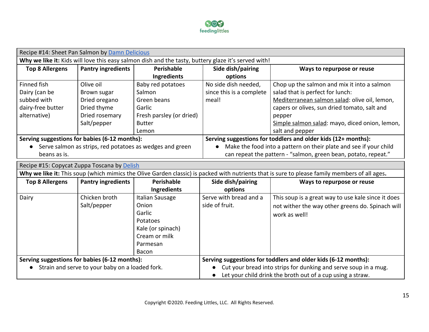

| Recipe #14: Sheet Pan Salmon by Damn Delicious                                                                                                |                                             |                                                                 |                                                                |                                                                   |  |
|-----------------------------------------------------------------------------------------------------------------------------------------------|---------------------------------------------|-----------------------------------------------------------------|----------------------------------------------------------------|-------------------------------------------------------------------|--|
| Why we like it: Kids will love this easy salmon dish and the tasty, buttery glaze it's served with!                                           |                                             |                                                                 |                                                                |                                                                   |  |
| <b>Top 8 Allergens</b>                                                                                                                        | <b>Pantry ingredients</b>                   | Perishable                                                      | Side dish/pairing                                              | Ways to repurpose or reuse                                        |  |
|                                                                                                                                               |                                             | Ingredients                                                     | options                                                        |                                                                   |  |
| Finned fish                                                                                                                                   | Olive oil                                   | Baby red potatoes                                               | No side dish needed,                                           | Chop up the salmon and mix it into a salmon                       |  |
| Dairy (can be                                                                                                                                 | Brown sugar                                 | Salmon                                                          | since this is a complete                                       | salad that is perfect for lunch:                                  |  |
| subbed with                                                                                                                                   | Dried oregano                               | Green beans                                                     | meal!                                                          | Mediterranean salmon salad: olive oil, lemon,                     |  |
| dairy-free butter                                                                                                                             | Dried thyme                                 | Garlic                                                          |                                                                | capers or olives, sun dried tomato, salt and                      |  |
| alternative)                                                                                                                                  | Dried rosemary                              | Fresh parsley (or dried)                                        |                                                                | pepper                                                            |  |
|                                                                                                                                               | Salt/pepper                                 | <b>Butter</b>                                                   |                                                                | Simple salmon salad: mayo, diced onion, lemon,                    |  |
|                                                                                                                                               |                                             | Lemon                                                           |                                                                | salt and pepper                                                   |  |
| Serving suggestions for babies (6-12 months):                                                                                                 |                                             |                                                                 |                                                                | Serving suggestions for toddlers and older kids (12+ months):     |  |
| Serve salmon as strips, red potatoes as wedges and green                                                                                      |                                             |                                                                 |                                                                | Make the food into a pattern on their plate and see if your child |  |
| beans as is.                                                                                                                                  |                                             |                                                                 | can repeat the pattern - "salmon, green bean, potato, repeat." |                                                                   |  |
|                                                                                                                                               | Recipe #15: Copycat Zuppa Toscana by Delish |                                                                 |                                                                |                                                                   |  |
| Why we like it: This soup (which mimics the Olive Garden classic) is packed with nutrients that is sure to please family members of all ages. |                                             |                                                                 |                                                                |                                                                   |  |
| <b>Top 8 Allergens</b>                                                                                                                        | <b>Pantry ingredients</b>                   | Perishable                                                      | Side dish/pairing                                              | Ways to repurpose or reuse                                        |  |
|                                                                                                                                               |                                             | Ingredients                                                     | options                                                        |                                                                   |  |
| Dairy                                                                                                                                         | Chicken broth                               | Italian Sausage                                                 | Serve with bread and a                                         | This soup is a great way to use kale since it does                |  |
|                                                                                                                                               | Salt/pepper                                 | Onion                                                           | side of fruit.                                                 | not wither the way other greens do. Spinach will                  |  |
|                                                                                                                                               |                                             | Garlic                                                          |                                                                | work as well!                                                     |  |
|                                                                                                                                               |                                             | Potatoes                                                        |                                                                |                                                                   |  |
|                                                                                                                                               |                                             | Kale (or spinach)                                               |                                                                |                                                                   |  |
|                                                                                                                                               |                                             | Cream or milk                                                   |                                                                |                                                                   |  |
|                                                                                                                                               |                                             | Parmesan                                                        |                                                                |                                                                   |  |
|                                                                                                                                               |                                             | Bacon                                                           |                                                                |                                                                   |  |
| Serving suggestions for babies (6-12 months):                                                                                                 |                                             |                                                                 | Serving suggestions for toddlers and older kids (6-12 months): |                                                                   |  |
| • Strain and serve to your baby on a loaded fork.                                                                                             |                                             | Cut your bread into strips for dunking and serve soup in a mug. |                                                                |                                                                   |  |
|                                                                                                                                               |                                             |                                                                 | Let your child drink the broth out of a cup using a straw.     |                                                                   |  |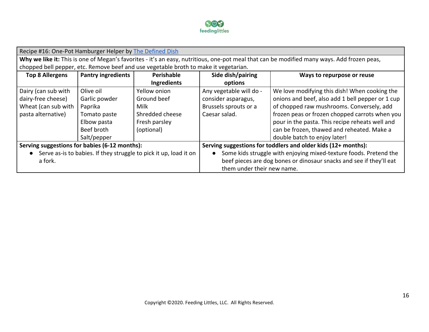

| Recipe #16: One-Pot Hamburger Helper by The Defined Dish                                                                                   |               |                                                                   |                                                                     |                                                  |  |
|--------------------------------------------------------------------------------------------------------------------------------------------|---------------|-------------------------------------------------------------------|---------------------------------------------------------------------|--------------------------------------------------|--|
| Why we like it: This is one of Megan's favorites - it's an easy, nutritious, one-pot meal that can be modified many ways. Add frozen peas, |               |                                                                   |                                                                     |                                                  |  |
| chopped bell pepper, etc. Remove beef and use vegetable broth to make it vegetarian.                                                       |               |                                                                   |                                                                     |                                                  |  |
| <b>Pantry ingredients</b><br>Perishable<br>Side dish/pairing<br><b>Top 8 Allergens</b>                                                     |               |                                                                   |                                                                     | Ways to repurpose or reuse                       |  |
|                                                                                                                                            |               | Ingredients                                                       | options                                                             |                                                  |  |
| Dairy (can sub with                                                                                                                        | Olive oil     | Yellow onion                                                      | Any vegetable will do -                                             | We love modifying this dish! When cooking the    |  |
| dairy-free cheese)                                                                                                                         | Garlic powder | Ground beef                                                       | consider asparagus,                                                 | onions and beef, also add 1 bell pepper or 1 cup |  |
| Wheat (can sub with                                                                                                                        | Paprika       | Milk                                                              | Brussels sprouts or a                                               | of chopped raw mushrooms. Conversely, add        |  |
| pasta alternative)                                                                                                                         | Tomato paste  | Shredded cheese                                                   | Caesar salad.                                                       | frozen peas or frozen chopped carrots when you   |  |
|                                                                                                                                            | Elbow pasta   | Fresh parsley                                                     |                                                                     | pour in the pasta. This recipe reheats well and  |  |
|                                                                                                                                            | Beef broth    | (optional)                                                        |                                                                     | can be frozen, thawed and reheated. Make a       |  |
|                                                                                                                                            | Salt/pepper   |                                                                   |                                                                     | double batch to enjoy later!                     |  |
| Serving suggestions for babies (6-12 months):                                                                                              |               | Serving suggestions for toddlers and older kids (12+ months):     |                                                                     |                                                  |  |
| • Serve as-is to babies. If they struggle to pick it up, load it on                                                                        |               | Some kids struggle with enjoying mixed-texture foods. Pretend the |                                                                     |                                                  |  |
| a fork.                                                                                                                                    |               |                                                                   | beef pieces are dog bones or dinosaur snacks and see if they'll eat |                                                  |  |
|                                                                                                                                            |               | them under their new name.                                        |                                                                     |                                                  |  |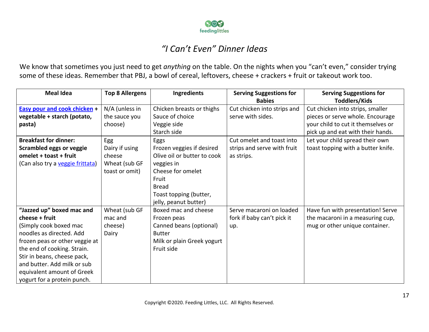

#### *"I Can't Even" Dinner Ideas*

We know that sometimes you just need to get *anything* on the table. On the nights when you "can't even," consider trying some of these ideas. Remember that PBJ, a bowl of cereal, leftovers, cheese + crackers + fruit or takeout work too.

| <b>Meal Idea</b>                                                                                                                                                                                                                                                                              | <b>Top 8 Allergens</b>                                             | <b>Ingredients</b>                                                                                                                                                              | <b>Serving Suggestions for</b><br><b>Babies</b>                        | <b>Serving Suggestions for</b><br><b>Toddlers/Kids</b>                                                                                          |
|-----------------------------------------------------------------------------------------------------------------------------------------------------------------------------------------------------------------------------------------------------------------------------------------------|--------------------------------------------------------------------|---------------------------------------------------------------------------------------------------------------------------------------------------------------------------------|------------------------------------------------------------------------|-------------------------------------------------------------------------------------------------------------------------------------------------|
| <b>Easy pour and cook chicken +</b><br>vegetable + starch (potato,<br>pasta)                                                                                                                                                                                                                  | N/A (unless in<br>the sauce you<br>choose)                         | Chicken breasts or thighs<br>Sauce of choice<br>Veggie side<br>Starch side                                                                                                      | Cut chicken into strips and<br>serve with sides.                       | Cut chicken into strips, smaller<br>pieces or serve whole. Encourage<br>your child to cut it themselves or<br>pick up and eat with their hands. |
| <b>Breakfast for dinner:</b><br><b>Scrambled eggs or veggie</b><br>omelet + toast + fruit<br>(Can also try a veggie frittata)                                                                                                                                                                 | Egg<br>Dairy if using<br>cheese<br>Wheat (sub GF<br>toast or omit) | Eggs<br>Frozen veggies if desired<br>Olive oil or butter to cook<br>veggies in<br>Cheese for omelet<br>Fruit<br><b>Bread</b><br>Toast topping (butter,<br>jelly, peanut butter) | Cut omelet and toast into<br>strips and serve with fruit<br>as strips. | Let your child spread their own<br>toast topping with a butter knife.                                                                           |
| "Jazzed up" boxed mac and<br>cheese + fruit<br>(Simply cook boxed mac<br>noodles as directed. Add<br>frozen peas or other veggie at<br>the end of cooking. Strain.<br>Stir in beans, cheese pack,<br>and butter. Add milk or sub<br>equivalent amount of Greek<br>yogurt for a protein punch. | Wheat (sub GF<br>mac and<br>cheese)<br>Dairy                       | Boxed mac and cheese<br>Frozen peas<br>Canned beans (optional)<br><b>Butter</b><br>Milk or plain Greek yogurt<br>Fruit side                                                     | Serve macaroni on loaded<br>fork if baby can't pick it<br>up.          | Have fun with presentation! Serve<br>the macaroni in a measuring cup,<br>mug or other unique container.                                         |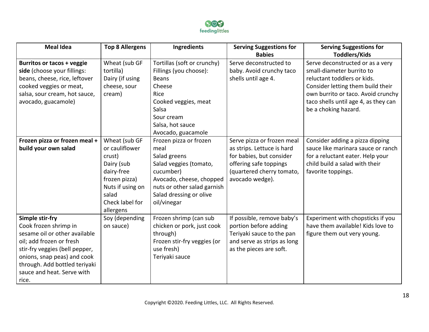

| <b>Meal Idea</b>                                                                                                                                                                                                                               | <b>Top 8 Allergens</b>                                                                                                                              | Ingredients                                                                                                                                                                                                      | <b>Serving Suggestions for</b><br><b>Babies</b>                                                                                                                | <b>Serving Suggestions for</b><br><b>Toddlers/Kids</b>                                                                                                                                                                                  |
|------------------------------------------------------------------------------------------------------------------------------------------------------------------------------------------------------------------------------------------------|-----------------------------------------------------------------------------------------------------------------------------------------------------|------------------------------------------------------------------------------------------------------------------------------------------------------------------------------------------------------------------|----------------------------------------------------------------------------------------------------------------------------------------------------------------|-----------------------------------------------------------------------------------------------------------------------------------------------------------------------------------------------------------------------------------------|
| Burritos or tacos + veggie<br>side (choose your fillings:<br>beans, cheese, rice, leftover<br>cooked veggies or meat,<br>salsa, sour cream, hot sauce,<br>avocado, guacamole)                                                                  | Wheat (sub GF<br>tortilla)<br>Dairy (if using<br>cheese, sour<br>cream)                                                                             | Tortillas (soft or crunchy)<br>Fillings (you choose):<br><b>Beans</b><br>Cheese<br>Rice<br>Cooked veggies, meat<br>Salsa<br>Sour cream<br>Salsa, hot sauce                                                       | Serve deconstructed to<br>baby. Avoid crunchy taco<br>shells until age 4.                                                                                      | Serve deconstructed or as a very<br>small-diameter burrito to<br>reluctant toddlers or kids.<br>Consider letting them build their<br>own burrito or taco. Avoid crunchy<br>taco shells until age 4, as they can<br>be a choking hazard. |
| Frozen pizza or frozen meal +<br>build your own salad                                                                                                                                                                                          | Wheat (sub GF<br>or cauliflower<br>crust)<br>Dairy (sub<br>dairy-free<br>frozen pizza)<br>Nuts if using on<br>salad<br>Check label for<br>allergens | Avocado, guacamole<br>Frozen pizza or frozen<br>meal<br>Salad greens<br>Salad veggies (tomato,<br>cucumber)<br>Avocado, cheese, chopped<br>nuts or other salad garnish<br>Salad dressing or olive<br>oil/vinegar | Serve pizza or frozen meal<br>as strips. Lettuce is hard<br>for babies, but consider<br>offering safe toppings<br>(quartered cherry tomato,<br>avocado wedge). | Consider adding a pizza dipping<br>sauce like marinara sauce or ranch<br>for a reluctant eater. Help your<br>child build a salad with their<br>favorite toppings.                                                                       |
| Simple stir-fry<br>Cook frozen shrimp in<br>sesame oil or other available<br>oil; add frozen or fresh<br>stir-fry veggies (bell pepper,<br>onions, snap peas) and cook<br>through. Add bottled teriyaki<br>sauce and heat. Serve with<br>rice. | Soy (depending<br>on sauce)                                                                                                                         | Frozen shrimp (can sub<br>chicken or pork, just cook<br>through)<br>Frozen stir-fry veggies (or<br>use fresh)<br>Teriyaki sauce                                                                                  | If possible, remove baby's<br>portion before adding<br>Teriyaki sauce to the pan<br>and serve as strips as long<br>as the pieces are soft.                     | Experiment with chopsticks if you<br>have them available! Kids love to<br>figure them out very young.                                                                                                                                   |